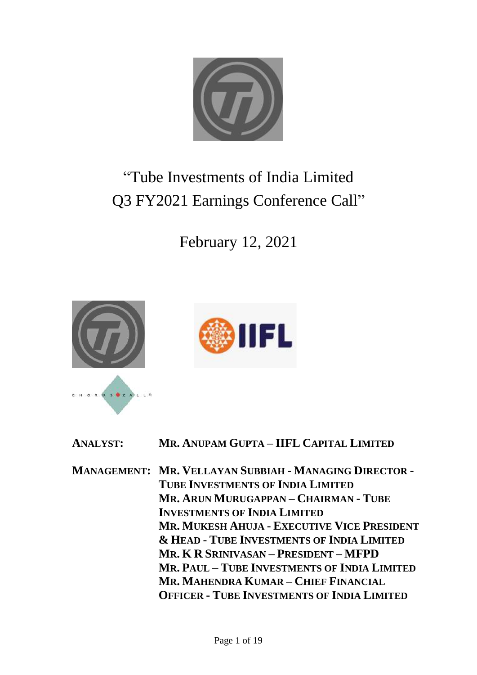

# "Tube Investments of India Limited Q3 FY2021 Earnings Conference Call"





| <b>ANALYST:</b> | MR. ANUPAM GUPTA - IIFL CAPITAL LIMITED                       |
|-----------------|---------------------------------------------------------------|
|                 | <b>MANAGEMENT: MR. VELLAYAN SUBBIAH - MANAGING DIRECTOR -</b> |
|                 | <b>TUBE INVESTMENTS OF INDIA LIMITED</b>                      |
|                 | MR. ARUN MURUGAPPAN – CHAIRMAN - TUBE                         |
|                 | <b>INVESTMENTS OF INDIA LIMITED</b>                           |
|                 | <b>MR. MUKESH AHUJA - EXECUTIVE VICE PRESIDENT</b>            |
|                 | <b>&amp; HEAD - TUBE INVESTMENTS OF INDIA LIMITED</b>         |
|                 | MR. K R SRINIVASAN – PRESIDENT – MFPD                         |
|                 | MR. PAUL - TUBE INVESTMENTS OF INDIA LIMITED                  |
|                 | MR. MAHENDRA KUMAR – CHIEF FINANCIAL                          |
|                 | <b>OFFICER - TUBE INVESTMENTS OF INDIA LIMITED</b>            |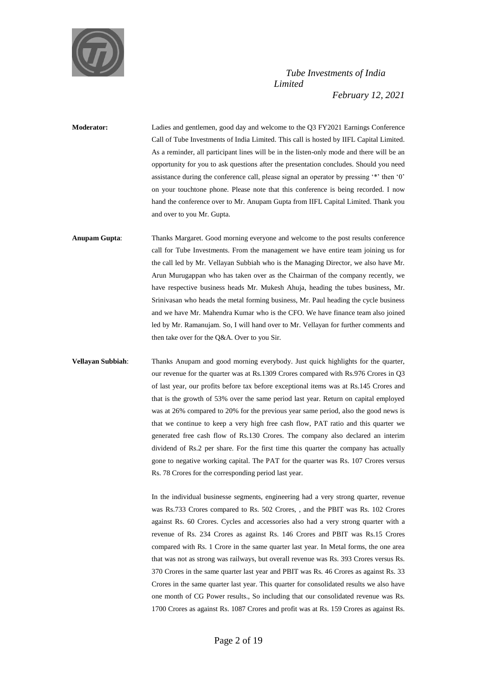

**Moderator:** Ladies and gentlemen, good day and welcome to the Q3 FY2021 Earnings Conference Call of Tube Investments of India Limited. This call is hosted by IIFL Capital Limited. As a reminder, all participant lines will be in the listen-only mode and there will be an opportunity for you to ask questions after the presentation concludes. Should you need assistance during the conference call, please signal an operator by pressing '\*' then '0' on your touchtone phone. Please note that this conference is being recorded. I now hand the conference over to Mr. Anupam Gupta from IIFL Capital Limited. Thank you and over to you Mr. Gupta.

**Anupam Gupta**: Thanks Margaret. Good morning everyone and welcome to the post results conference call for Tube Investments. From the management we have entire team joining us for the call led by Mr. Vellayan Subbiah who is the Managing Director, we also have Mr. Arun Murugappan who has taken over as the Chairman of the company recently, we have respective business heads Mr. Mukesh Ahuja, heading the tubes business, Mr. Srinivasan who heads the metal forming business, Mr. Paul heading the cycle business and we have Mr. Mahendra Kumar who is the CFO. We have finance team also joined led by Mr. Ramanujam. So, I will hand over to Mr. Vellayan for further comments and then take over for the Q&A. Over to you Sir.

**Vellayan Subbiah**: Thanks Anupam and good morning everybody. Just quick highlights for the quarter, our revenue for the quarter was at Rs.1309 Crores compared with Rs.976 Crores in Q3 of last year, our profits before tax before exceptional items was at Rs.145 Crores and that is the growth of 53% over the same period last year. Return on capital employed was at 26% compared to 20% for the previous year same period, also the good news is that we continue to keep a very high free cash flow, PAT ratio and this quarter we generated free cash flow of Rs.130 Crores. The company also declared an interim dividend of Rs.2 per share. For the first time this quarter the company has actually gone to negative working capital. The PAT for the quarter was Rs. 107 Crores versus Rs. 78 Crores for the corresponding period last year.

> In the individual businesse segments, engineering had a very strong quarter, revenue was Rs.733 Crores compared to Rs. 502 Crores, , and the PBIT was Rs. 102 Crores against Rs. 60 Crores. Cycles and accessories also had a very strong quarter with a revenue of Rs. 234 Crores as against Rs. 146 Crores and PBIT was Rs.15 Crores compared with Rs. 1 Crore in the same quarter last year. In Metal forms, the one area that was not as strong was railways, but overall revenue was Rs. 393 Crores versus Rs. 370 Crores in the same quarter last year and PBIT was Rs. 46 Crores as against Rs. 33 Crores in the same quarter last year. This quarter for consolidated results we also have one month of CG Power results., So including that our consolidated revenue was Rs. 1700 Crores as against Rs. 1087 Crores and profit was at Rs. 159 Crores as against Rs.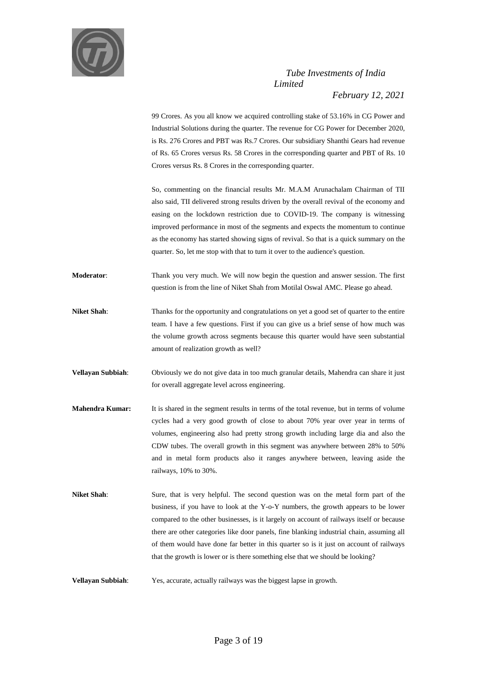

99 Crores. As you all know we acquired controlling stake of 53.16% in CG Power and Industrial Solutions during the quarter. The revenue for CG Power for December 2020, is Rs. 276 Crores and PBT was Rs.7 Crores. Our subsidiary Shanthi Gears had revenue of Rs. 65 Crores versus Rs. 58 Crores in the corresponding quarter and PBT of Rs. 10 Crores versus Rs. 8 Crores in the corresponding quarter.

So, commenting on the financial results Mr. M.A.M Arunachalam Chairman of TII also said, TII delivered strong results driven by the overall revival of the economy and easing on the lockdown restriction due to COVID-19. The company is witnessing improved performance in most of the segments and expects the momentum to continue as the economy has started showing signs of revival. So that is a quick summary on the quarter. So, let me stop with that to turn it over to the audience's question.

**Moderator**: Thank you very much. We will now begin the question and answer session. The first question is from the line of Niket Shah from Motilal Oswal AMC. Please go ahead.

- **Niket Shah**: Thanks for the opportunity and congratulations on yet a good set of quarter to the entire team. I have a few questions. First if you can give us a brief sense of how much was the volume growth across segments because this quarter would have seen substantial amount of realization growth as well?
- **Vellayan Subbiah**: Obviously we do not give data in too much granular details, Mahendra can share it just for overall aggregate level across engineering.
- **Mahendra Kumar:** It is shared in the segment results in terms of the total revenue, but in terms of volume cycles had a very good growth of close to about 70% year over year in terms of volumes, engineering also had pretty strong growth including large dia and also the CDW tubes. The overall growth in this segment was anywhere between 28% to 50% and in metal form products also it ranges anywhere between, leaving aside the railways, 10% to 30%.
- **Niket Shah**: Sure, that is very helpful. The second question was on the metal form part of the business, if you have to look at the Y-o-Y numbers, the growth appears to be lower compared to the other businesses, is it largely on account of railways itself or because there are other categories like door panels, fine blanking industrial chain, assuming all of them would have done far better in this quarter so is it just on account of railways that the growth is lower or is there something else that we should be looking?
- **Vellayan Subbiah**: Yes, accurate, actually railways was the biggest lapse in growth.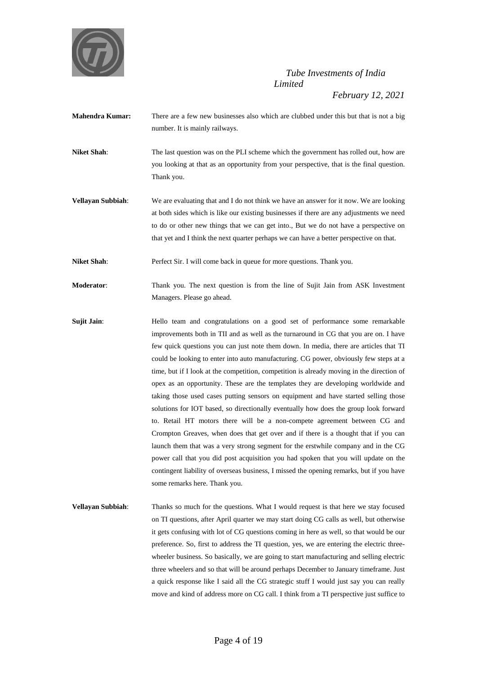

- **Mahendra Kumar:** There are a few new businesses also which are clubbed under this but that is not a big number. It is mainly railways.
- **Niket Shah**: The last question was on the PLI scheme which the government has rolled out, how are you looking at that as an opportunity from your perspective, that is the final question. Thank you.
- **Vellayan Subbiah**: We are evaluating that and I do not think we have an answer for it now. We are looking at both sides which is like our existing businesses if there are any adjustments we need to do or other new things that we can get into., But we do not have a perspective on that yet and I think the next quarter perhaps we can have a better perspective on that.
- **Niket Shah:** Perfect Sir. I will come back in queue for more questions. Thank you.
- **Moderator**: Thank you. The next question is from the line of Sujit Jain from ASK Investment Managers. Please go ahead.
- **Sujit Jain**: Hello team and congratulations on a good set of performance some remarkable improvements both in TII and as well as the turnaround in CG that you are on. I have few quick questions you can just note them down. In media, there are articles that TI could be looking to enter into auto manufacturing. CG power, obviously few steps at a time, but if I look at the competition, competition is already moving in the direction of opex as an opportunity. These are the templates they are developing worldwide and taking those used cases putting sensors on equipment and have started selling those solutions for IOT based, so directionally eventually how does the group look forward to. Retail HT motors there will be a non-compete agreement between CG and Crompton Greaves, when does that get over and if there is a thought that if you can launch them that was a very strong segment for the erstwhile company and in the CG power call that you did post acquisition you had spoken that you will update on the contingent liability of overseas business, I missed the opening remarks, but if you have some remarks here. Thank you.
- **Vellayan Subbiah:** Thanks so much for the questions. What I would request is that here we stay focused on TI questions, after April quarter we may start doing CG calls as well, but otherwise it gets confusing with lot of CG questions coming in here as well, so that would be our preference. So, first to address the TI question, yes, we are entering the electric threewheeler business. So basically, we are going to start manufacturing and selling electric three wheelers and so that will be around perhaps December to January timeframe. Just a quick response like I said all the CG strategic stuff I would just say you can really move and kind of address more on CG call. I think from a TI perspective just suffice to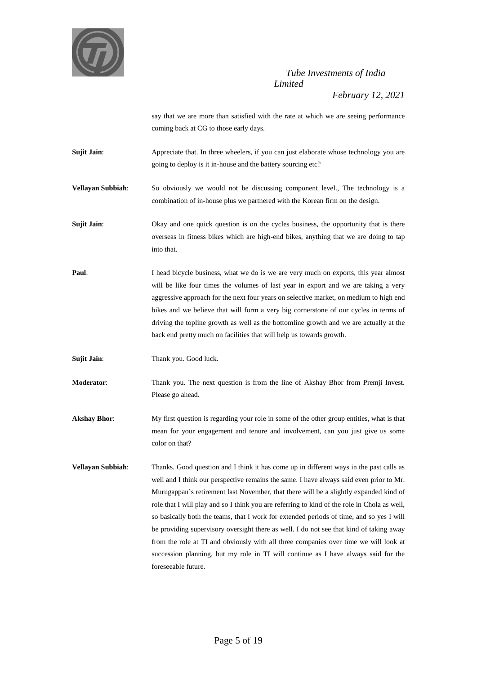

*February 12, 2021*

say that we are more than satisfied with the rate at which we are seeing performance coming back at CG to those early days.

Sujit Jain: Appreciate that. In three wheelers, if you can just elaborate whose technology you are going to deploy is it in-house and the battery sourcing etc?

**Vellayan Subbiah**: So obviously we would not be discussing component level., The technology is a combination of in-house plus we partnered with the Korean firm on the design.

**Sujit Jain:** Okay and one quick question is on the cycles business, the opportunity that is there overseas in fitness bikes which are high-end bikes, anything that we are doing to tap into that.

**Paul:** I head bicycle business, what we do is we are very much on exports, this year almost will be like four times the volumes of last year in export and we are taking a very aggressive approach for the next four years on selective market, on medium to high end bikes and we believe that will form a very big cornerstone of our cycles in terms of driving the topline growth as well as the bottomline growth and we are actually at the back end pretty much on facilities that will help us towards growth.

**Sujit Jain:** Thank you. Good luck.

**Moderator**: Thank you. The next question is from the line of Akshay Bhor from Premji Invest. Please go ahead.

**Akshay Bhor**: My first question is regarding your role in some of the other group entities, what is that mean for your engagement and tenure and involvement, can you just give us some color on that?

**Vellayan Subbiah**: Thanks. Good question and I think it has come up in different ways in the past calls as well and I think our perspective remains the same. I have always said even prior to Mr. Murugappan's retirement last November, that there will be a slightly expanded kind of role that I will play and so I think you are referring to kind of the role in Chola as well, so basically both the teams, that I work for extended periods of time, and so yes I will be providing supervisory oversight there as well. I do not see that kind of taking away from the role at TI and obviously with all three companies over time we will look at succession planning, but my role in TI will continue as I have always said for the foreseeable future.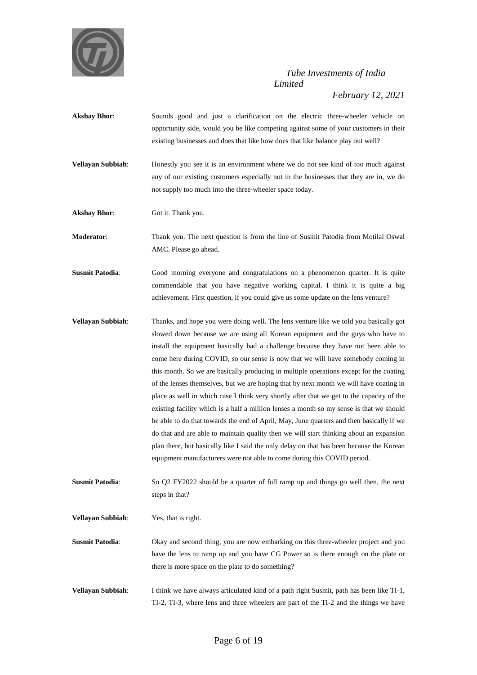

*February 12, 2021*

- **Akshay Bhor**: Sounds good and just a clarification on the electric three-wheeler vehicle on opportunity side, would you be like competing against some of your customers in their existing businesses and does that like how does that like balance play out well?
- **Vellayan Subbiah**: Honestly you see it is an environment where we do not see kind of too much against any of our existing customers especially not in the businesses that they are in, we do not supply too much into the three-wheeler space today.
- **Akshay Bhor**: Got it. Thank you.

**Moderator**: Thank you. The next question is from the line of Susmit Patodia from Motilal Oswal AMC. Please go ahead.

- **Susmit Patodia:** Good morning everyone and congratulations on a phenomenon quarter. It is quite commendable that you have negative working capital. I think it is quite a big achievement. First question, if you could give us some update on the lens venture?
- **Vellayan Subbiah**: Thanks, and hope you were doing well. The lens venture like we told you basically got slowed down because we are using all Korean equipment and the guys who have to install the equipment basically had a challenge because they have not been able to come here during COVID, so our sense is now that we will have somebody coming in this month. So we are basically producing in multiple operations except for the coating of the lenses themselves, but we are hoping that by next month we will have coating in place as well in which case I think very shortly after that we get to the capacity of the existing facility which is a half a million lenses a month so my sense is that we should be able to do that towards the end of April, May, June quarters and then basically if we do that and are able to maintain quality then we will start thinking about an expansion plan there, but basically like I said the only delay on that has been because the Korean equipment manufacturers were not able to come during this COVID period.

**Susmit Patodia:** So Q2 FY2022 should be a quarter of full ramp up and things go well then, the next steps in that?

**Vellayan Subbiah**: Yes, that is right.

**Susmit Patodia:** Okay and second thing, you are now embarking on this three-wheeler project and you have the lens to ramp up and you have CG Power so is there enough on the plate or there is more space on the plate to do something?

**Vellayan Subbiah**: I think we have always articulated kind of a path right Susmit, path has been like TI-1, TI-2, TI-3, where lens and three wheelers are part of the TI-2 and the things we have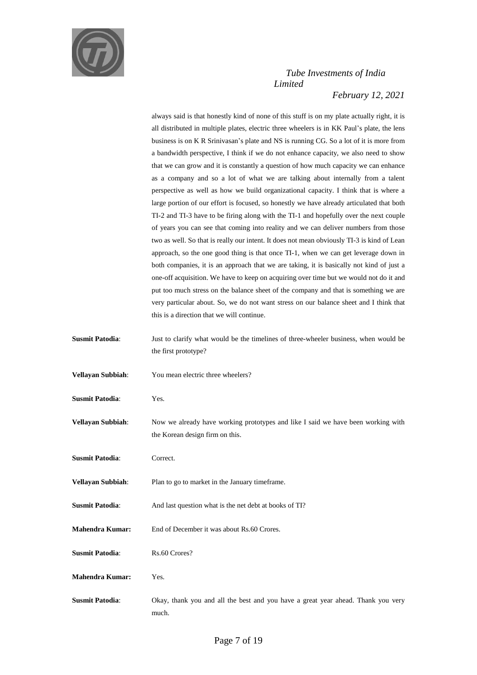

always said is that honestly kind of none of this stuff is on my plate actually right, it is all distributed in multiple plates, electric three wheelers is in KK Paul's plate, the lens business is on K R Srinivasan's plate and NS is running CG. So a lot of it is more from a bandwidth perspective, I think if we do not enhance capacity, we also need to show that we can grow and it is constantly a question of how much capacity we can enhance as a company and so a lot of what we are talking about internally from a talent perspective as well as how we build organizational capacity. I think that is where a large portion of our effort is focused, so honestly we have already articulated that both TI-2 and TI-3 have to be firing along with the TI-1 and hopefully over the next couple of years you can see that coming into reality and we can deliver numbers from those two as well. So that is really our intent. It does not mean obviously TI-3 is kind of Lean approach, so the one good thing is that once TI-1, when we can get leverage down in both companies, it is an approach that we are taking, it is basically not kind of just a one-off acquisition. We have to keep on acquiring over time but we would not do it and put too much stress on the balance sheet of the company and that is something we are very particular about. So, we do not want stress on our balance sheet and I think that this is a direction that we will continue.

- **Susmit Patodia:** Just to clarify what would be the timelines of three-wheeler business, when would be the first prototype?
- **Vellayan Subbiah**: You mean electric three wheelers?
- **Susmit Patodia**: Yes.
- **Vellayan Subbiah:** Now we already have working prototypes and like I said we have been working with the Korean design firm on this.
- **Susmit Patodia:** Correct.
- **Vellayan Subbiah**: Plan to go to market in the January timeframe.
- **Susmit Patodia:** And last question what is the net debt at books of TI?
- **Mahendra Kumar:** End of December it was about Rs.60 Crores.
- **Susmit Patodia:** Rs.60 Crores?
- **Mahendra Kumar:** Yes.
- **Susmit Patodia**: Okay, thank you and all the best and you have a great year ahead. Thank you very much.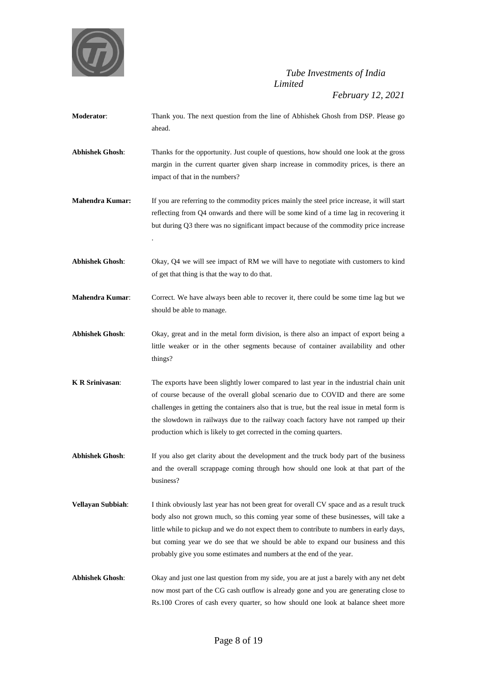

*February 12, 2021*

- **Moderator**: Thank you. The next question from the line of Abhishek Ghosh from DSP. Please go ahead. **Abhishek Ghosh**: Thanks for the opportunity. Just couple of questions, how should one look at the gross margin in the current quarter given sharp increase in commodity prices, is there an impact of that in the numbers?
- **Mahendra Kumar:** If you are referring to the commodity prices mainly the steel price increase, it will start reflecting from Q4 onwards and there will be some kind of a time lag in recovering it but during Q3 there was no significant impact because of the commodity price increase

.

- **Abhishek Ghosh**: Okay, Q4 we will see impact of RM we will have to negotiate with customers to kind of get that thing is that the way to do that.
- **Mahendra Kumar:** Correct. We have always been able to recover it, there could be some time lag but we should be able to manage.
- **Abhishek Ghosh**: Okay, great and in the metal form division, is there also an impact of export being a little weaker or in the other segments because of container availability and other things?
- **K R Srinivasan:** The exports have been slightly lower compared to last year in the industrial chain unit of course because of the overall global scenario due to COVID and there are some challenges in getting the containers also that is true, but the real issue in metal form is the slowdown in railways due to the railway coach factory have not ramped up their production which is likely to get corrected in the coming quarters.
- **Abhishek Ghosh**: If you also get clarity about the development and the truck body part of the business and the overall scrappage coming through how should one look at that part of the business?
- **Vellayan Subbiah**: I think obviously last year has not been great for overall CV space and as a result truck body also not grown much, so this coming year some of these businesses, will take a little while to pickup and we do not expect them to contribute to numbers in early days, but coming year we do see that we should be able to expand our business and this probably give you some estimates and numbers at the end of the year.
- **Abhishek Ghosh**: Okay and just one last question from my side, you are at just a barely with any net debt now most part of the CG cash outflow is already gone and you are generating close to Rs.100 Crores of cash every quarter, so how should one look at balance sheet more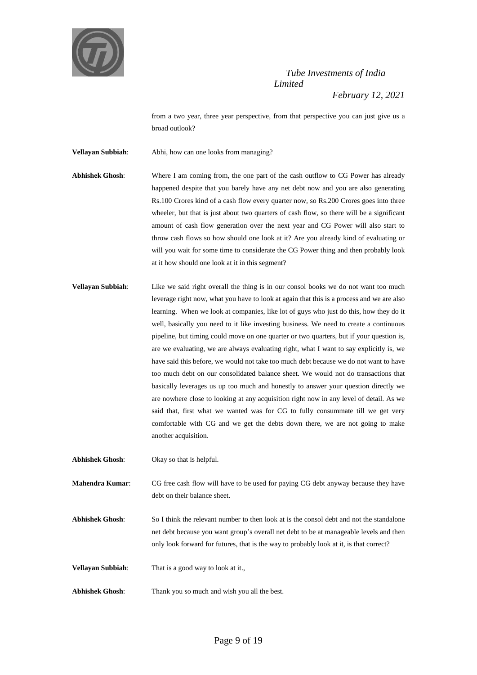

from a two year, three year perspective, from that perspective you can just give us a broad outlook?

**Vellayan Subbiah**: Abhi, how can one looks from managing?

- **Abhishek Ghosh**: Where I am coming from, the one part of the cash outflow to CG Power has already happened despite that you barely have any net debt now and you are also generating Rs.100 Crores kind of a cash flow every quarter now, so Rs.200 Crores goes into three wheeler, but that is just about two quarters of cash flow, so there will be a significant amount of cash flow generation over the next year and CG Power will also start to throw cash flows so how should one look at it? Are you already kind of evaluating or will you wait for some time to considerate the CG Power thing and then probably look at it how should one look at it in this segment?
- **Vellayan Subbiah**: Like we said right overall the thing is in our consol books we do not want too much leverage right now, what you have to look at again that this is a process and we are also learning. When we look at companies, like lot of guys who just do this, how they do it well, basically you need to it like investing business. We need to create a continuous pipeline, but timing could move on one quarter or two quarters, but if your question is, are we evaluating, we are always evaluating right, what I want to say explicitly is, we have said this before, we would not take too much debt because we do not want to have too much debt on our consolidated balance sheet. We would not do transactions that basically leverages us up too much and honestly to answer your question directly we are nowhere close to looking at any acquisition right now in any level of detail. As we said that, first what we wanted was for CG to fully consummate till we get very comfortable with CG and we get the debts down there, we are not going to make another acquisition.

**Abhishek Ghosh**: Okay so that is helpful.

**Mahendra Kumar:** CG free cash flow will have to be used for paying CG debt anyway because they have debt on their balance sheet.

- **Abhishek Ghosh**: So I think the relevant number to then look at is the consol debt and not the standalone net debt because you want group's overall net debt to be at manageable levels and then only look forward for futures, that is the way to probably look at it, is that correct?
- **Vellayan Subbiah**: That is a good way to look at it.,
- **Abhishek Ghosh**: Thank you so much and wish you all the best.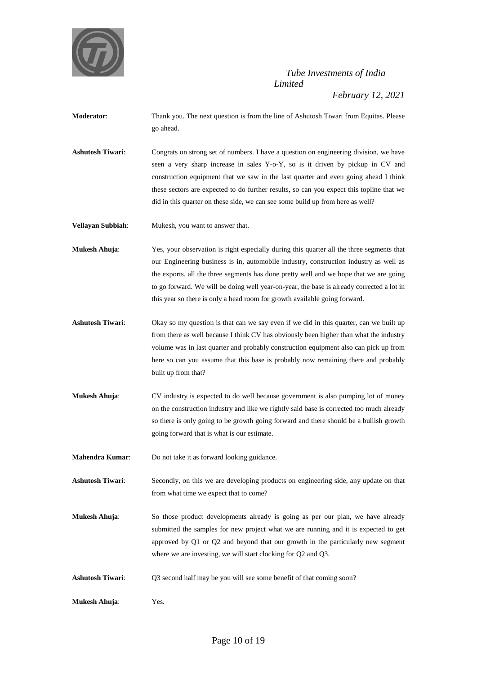

- **Moderator**: Thank you. The next question is from the line of Ashutosh Tiwari from Equitas. Please go ahead.
- **Ashutosh Tiwari**: Congrats on strong set of numbers. I have a question on engineering division, we have seen a very sharp increase in sales Y-o-Y, so is it driven by pickup in CV and construction equipment that we saw in the last quarter and even going ahead I think these sectors are expected to do further results, so can you expect this topline that we did in this quarter on these side, we can see some build up from here as well?
- **Vellayan Subbiah:** Mukesh, you want to answer that.
- **Mukesh Ahuja**: Yes, your observation is right especially during this quarter all the three segments that our Engineering business is in, automobile industry, construction industry as well as the exports, all the three segments has done pretty well and we hope that we are going to go forward. We will be doing well year-on-year, the base is already corrected a lot in this year so there is only a head room for growth available going forward.
- **Ashutosh Tiwari**: Okay so my question is that can we say even if we did in this quarter, can we built up from there as well because I think CV has obviously been higher than what the industry volume was in last quarter and probably construction equipment also can pick up from here so can you assume that this base is probably now remaining there and probably built up from that?
- **Mukesh Ahuja:** CV industry is expected to do well because government is also pumping lot of money on the construction industry and like we rightly said base is corrected too much already so there is only going to be growth going forward and there should be a bullish growth going forward that is what is our estimate.
- **Mahendra Kumar**: Do not take it as forward looking guidance.
- **Ashutosh Tiwari**: Secondly, on this we are developing products on engineering side, any update on that from what time we expect that to come?
- **Mukesh Ahuja:** So those product developments already is going as per our plan, we have already submitted the samples for new project what we are running and it is expected to get approved by Q1 or Q2 and beyond that our growth in the particularly new segment where we are investing, we will start clocking for Q2 and Q3.
- **Ashutosh Tiwari**: Q3 second half may be you will see some benefit of that coming soon?
- **Mukesh Ahuja**: Yes.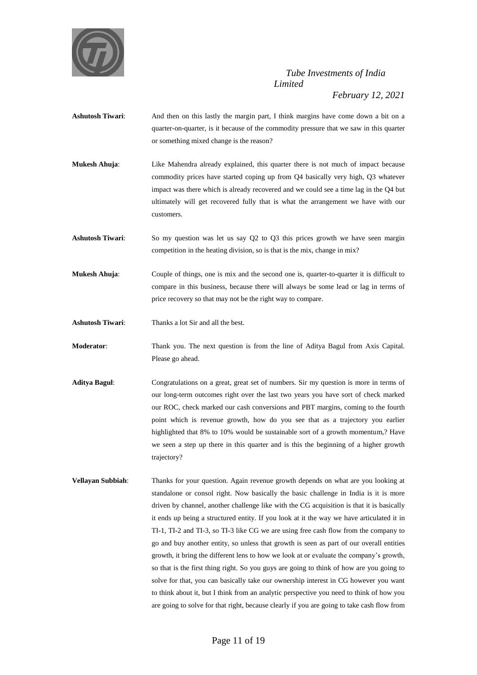

- **Ashutosh Tiwari**: And then on this lastly the margin part, I think margins have come down a bit on a quarter-on-quarter, is it because of the commodity pressure that we saw in this quarter or something mixed change is the reason?
- **Mukesh Ahuja**: Like Mahendra already explained, this quarter there is not much of impact because commodity prices have started coping up from Q4 basically very high, Q3 whatever impact was there which is already recovered and we could see a time lag in the Q4 but ultimately will get recovered fully that is what the arrangement we have with our customers.
- **Ashutosh Tiwari**: So my question was let us say Q2 to Q3 this prices growth we have seen margin competition in the heating division, so is that is the mix, change in mix?
- **Mukesh Ahuja:** Couple of things, one is mix and the second one is, quarter-to-quarter it is difficult to compare in this business, because there will always be some lead or lag in terms of price recovery so that may not be the right way to compare.
- **Ashutosh Tiwari**: Thanks a lot Sir and all the best.
- **Moderator**: Thank you. The next question is from the line of Aditya Bagul from Axis Capital. Please go ahead.
- **Aditya Bagul**: Congratulations on a great, great set of numbers. Sir my question is more in terms of our long-term outcomes right over the last two years you have sort of check marked our ROC, check marked our cash conversions and PBT margins, coming to the fourth point which is revenue growth, how do you see that as a trajectory you earlier highlighted that 8% to 10% would be sustainable sort of a growth momentum,? Have we seen a step up there in this quarter and is this the beginning of a higher growth trajectory?
- **Vellayan Subbiah**: Thanks for your question. Again revenue growth depends on what are you looking at standalone or consol right. Now basically the basic challenge in India is it is more driven by channel, another challenge like with the CG acquisition is that it is basically it ends up being a structured entity. If you look at it the way we have articulated it in TI-1, TI-2 and TI-3, so TI-3 like CG we are using free cash flow from the company to go and buy another entity, so unless that growth is seen as part of our overall entities growth, it bring the different lens to how we look at or evaluate the company's growth, so that is the first thing right. So you guys are going to think of how are you going to solve for that, you can basically take our ownership interest in CG however you want to think about it, but I think from an analytic perspective you need to think of how you are going to solve for that right, because clearly if you are going to take cash flow from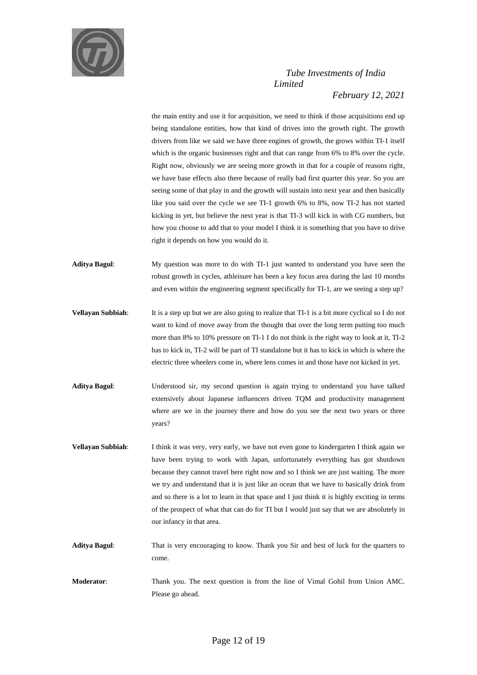

the main entity and use it for acquisition, we need to think if those acquisitions end up being standalone entities, how that kind of drives into the growth right. The growth drivers from like we said we have three engines of growth, the grows within TI-1 itself which is the organic businesses right and that can range from 6% to 8% over the cycle. Right now, obviously we are seeing more growth in that for a couple of reasons right, we have base effects also there because of really bad first quarter this year. So you are seeing some of that play in and the growth will sustain into next year and then basically like you said over the cycle we see TI-1 growth 6% to 8%, now TI-2 has not started kicking in yet, but believe the next year is that TI-3 will kick in with CG numbers, but how you choose to add that to your model I think it is something that you have to drive right it depends on how you would do it.

- **Aditya Bagul**: My question was more to do with TI-1 just wanted to understand you have seen the robust growth in cycles, athleisure has been a key focus area during the last 10 months and even within the engineering segment specifically for TI-1, are we seeing a step up?
- **Vellayan Subbiah**: It is a step up but we are also going to realize that TI-1 is a bit more cyclical so I do not want to kind of move away from the thought that over the long term putting too much more than 8% to 10% pressure on TI-1 I do not think is the right way to look at it, TI-2 has to kick in, TI-2 will be part of TI standalone but it has to kick in which is where the electric three wheelers come in, where lens comes in and those have not kicked in yet.
- **Aditya Bagul**: Understood sir, my second question is again trying to understand you have talked extensively about Japanese influencers driven TQM and productivity management where are we in the journey there and how do you see the next two years or three years?
- **Vellayan Subbiah**: I think it was very, very early, we have not even gone to kindergarten I think again we have been trying to work with Japan, unfortunately everything has got shutdown because they cannot travel here right now and so I think we are just waiting. The more we try and understand that it is just like an ocean that we have to basically drink from and so there is a lot to learn in that space and I just think it is highly exciting in terms of the prospect of what that can do for TI but I would just say that we are absolutely in our infancy in that area.
- **Aditya Bagul**: That is very encouraging to know. Thank you Sir and best of luck for the quarters to come.
- **Moderator**: Thank you. The next question is from the line of Vimal Gohil from Union AMC. Please go ahead.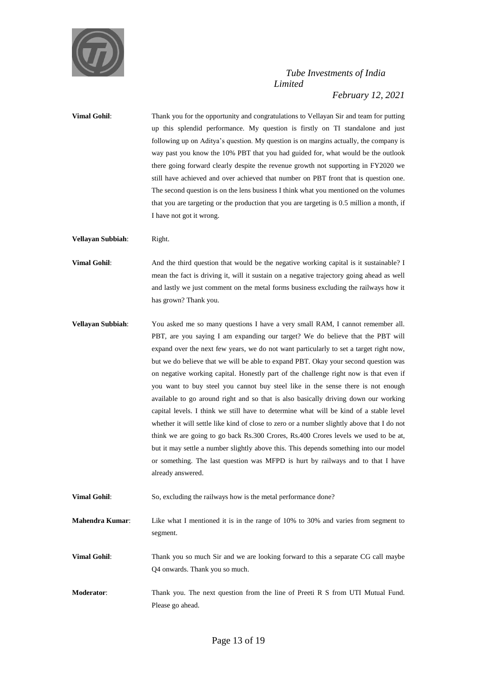

**Vimal Gohil:** Thank you for the opportunity and congratulations to Vellayan Sir and team for putting up this splendid performance. My question is firstly on TI standalone and just following up on Aditya's question. My question is on margins actually, the company is way past you know the 10% PBT that you had guided for, what would be the outlook there going forward clearly despite the revenue growth not supporting in FY2020 we still have achieved and over achieved that number on PBT front that is question one. The second question is on the lens business I think what you mentioned on the volumes that you are targeting or the production that you are targeting is 0.5 million a month, if I have not got it wrong.

**Vellayan Subbiah**: Right.

**Vimal Gohil**: And the third question that would be the negative working capital is it sustainable? I mean the fact is driving it, will it sustain on a negative trajectory going ahead as well and lastly we just comment on the metal forms business excluding the railways how it has grown? Thank you.

- **Vellayan Subbiah:** You asked me so many questions I have a very small RAM, I cannot remember all. PBT, are you saying I am expanding our target? We do believe that the PBT will expand over the next few years, we do not want particularly to set a target right now, but we do believe that we will be able to expand PBT. Okay your second question was on negative working capital. Honestly part of the challenge right now is that even if you want to buy steel you cannot buy steel like in the sense there is not enough available to go around right and so that is also basically driving down our working capital levels. I think we still have to determine what will be kind of a stable level whether it will settle like kind of close to zero or a number slightly above that I do not think we are going to go back Rs.300 Crores, Rs.400 Crores levels we used to be at, but it may settle a number slightly above this. This depends something into our model or something. The last question was MFPD is hurt by railways and to that I have already answered.
- **Vimal Gohil**: So, excluding the railways how is the metal performance done?

**Mahendra Kumar**: Like what I mentioned it is in the range of 10% to 30% and varies from segment to segment.

**Vimal Gohil:** Thank you so much Sir and we are looking forward to this a separate CG call maybe Q4 onwards. Thank you so much.

**Moderator**: Thank you. The next question from the line of Preeti R S from UTI Mutual Fund. Please go ahead.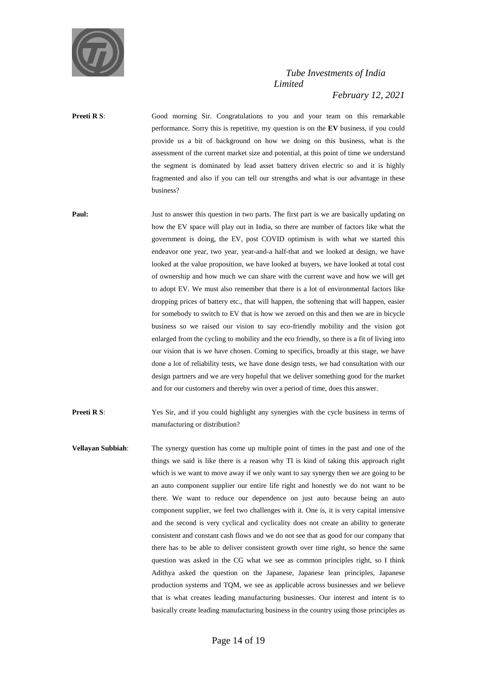

*February 12, 2021*

**Preeti R** S: Good morning Sir. Congratulations to you and your team on this remarkable performance. Sorry this is repetitive, my question is on the **EV** business, if you could provide us a bit of background on how we doing on this business, what is the assessment of the current market size and potential, at this point of time we understand the segment is dominated by lead asset battery driven electric so and it is highly fragmented and also if you can tell our strengths and what is our advantage in these business?

**Paul:** Just to answer this question in two parts. The first part is we are basically updating on how the EV space will play out in India, so there are number of factors like what the government is doing, the EV, post COVID optimism is with what we started this endeavor one year, two year, year-and-a half-that and we looked at design, we have looked at the value proposition, we have looked at buyers, we have looked at total cost of ownership and how much we can share with the current wave and how we will get to adopt EV. We must also remember that there is a lot of environmental factors like dropping prices of battery etc., that will happen, the softening that will happen, easier for somebody to switch to EV that is how we zeroed on this and then we are in bicycle business so we raised our vision to say eco-friendly mobility and the vision got enlarged from the cycling to mobility and the eco friendly, so there is a fit of living into our vision that is we have chosen. Coming to specifics, broadly at this stage, we have done a lot of reliability tests, we have done design tests, we had consultation with our design partners and we are very hopeful that we deliver something good for the market and for our customers and thereby win over a period of time, does this answer.

**Preeti R** S: Yes Sir, and if you could highlight any synergies with the cycle business in terms of manufacturing or distribution?

**Vellayan Subbiah**: The synergy question has come up multiple point of times in the past and one of the things we said is like there is a reason why TI is kind of taking this approach right which is we want to move away if we only want to say synergy then we are going to be an auto component supplier our entire life right and honestly we do not want to be there. We want to reduce our dependence on just auto because being an auto component supplier, we feel two challenges with it. One is, it is very capital intensive and the second is very cyclical and cyclicality does not create an ability to generate consistent and constant cash flows and we do not see that as good for our company that there has to be able to deliver consistent growth over time right, so hence the same question was asked in the CG what we see as common principles right, so I think Adithya asked the question on the Japanese, Japanese lean principles, Japanese production systems and TQM, we see as applicable across businesses and we believe that is what creates leading manufacturing businesses. Our interest and intent is to basically create leading manufacturing business in the country using those principles as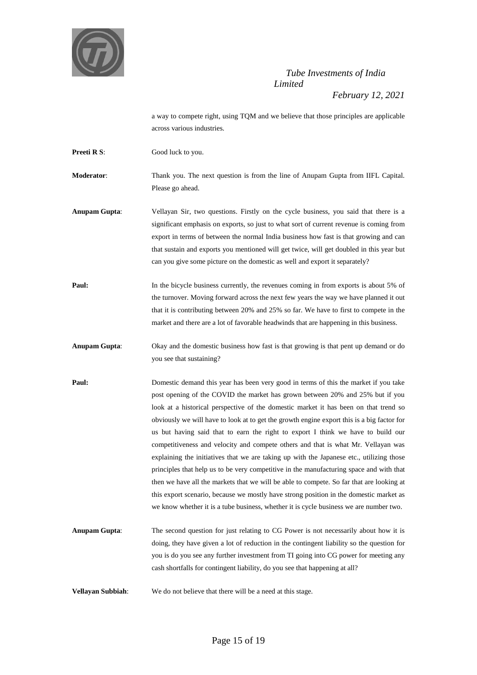

a way to compete right, using TQM and we believe that those principles are applicable across various industries.

**Preeti R S:** Good luck to you.

**Moderator**: Thank you. The next question is from the line of Anupam Gupta from IIFL Capital. Please go ahead.

**Anupam Gupta**: Vellayan Sir, two questions. Firstly on the cycle business, you said that there is a significant emphasis on exports, so just to what sort of current revenue is coming from export in terms of between the normal India business how fast is that growing and can that sustain and exports you mentioned will get twice, will get doubled in this year but can you give some picture on the domestic as well and export it separately?

**Paul:** In the bicycle business currently, the revenues coming in from exports is about 5% of the turnover. Moving forward across the next few years the way we have planned it out that it is contributing between 20% and 25% so far. We have to first to compete in the market and there are a lot of favorable headwinds that are happening in this business.

**Anupam Gupta**: Okay and the domestic business how fast is that growing is that pent up demand or do you see that sustaining?

**Paul:** Domestic demand this year has been very good in terms of this the market if you take post opening of the COVID the market has grown between 20% and 25% but if you look at a historical perspective of the domestic market it has been on that trend so obviously we will have to look at to get the growth engine export this is a big factor for us but having said that to earn the right to export I think we have to build our competitiveness and velocity and compete others and that is what Mr. Vellayan was explaining the initiatives that we are taking up with the Japanese etc., utilizing those principles that help us to be very competitive in the manufacturing space and with that then we have all the markets that we will be able to compete. So far that are looking at this export scenario, because we mostly have strong position in the domestic market as we know whether it is a tube business, whether it is cycle business we are number two.

**Anupam Gupta**: The second question for just relating to CG Power is not necessarily about how it is doing, they have given a lot of reduction in the contingent liability so the question for you is do you see any further investment from TI going into CG power for meeting any cash shortfalls for contingent liability, do you see that happening at all?

**Vellayan Subbiah**: We do not believe that there will be a need at this stage.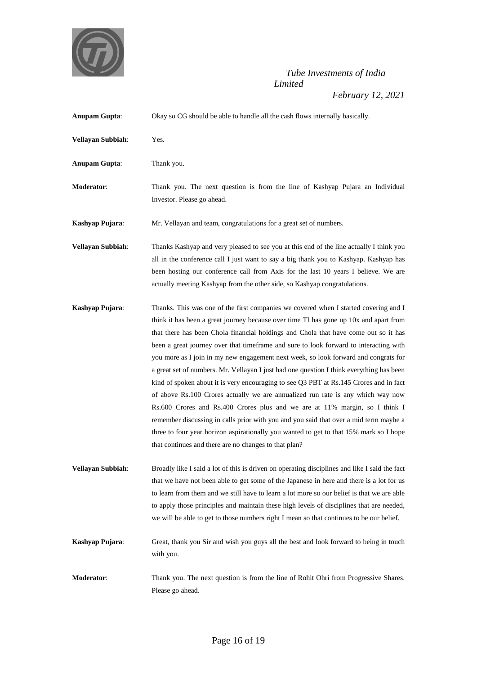

| <b>Anupam Gupta:</b>     | Okay so CG should be able to handle all the cash flows internally basically.                                                                                                                                                                                                                                                                                                                                                                                                                                                                                                                                                                                                                                                                                                                                                                                                                                                                                                                                                                             |
|--------------------------|----------------------------------------------------------------------------------------------------------------------------------------------------------------------------------------------------------------------------------------------------------------------------------------------------------------------------------------------------------------------------------------------------------------------------------------------------------------------------------------------------------------------------------------------------------------------------------------------------------------------------------------------------------------------------------------------------------------------------------------------------------------------------------------------------------------------------------------------------------------------------------------------------------------------------------------------------------------------------------------------------------------------------------------------------------|
| Vellayan Subbiah:        | Yes.                                                                                                                                                                                                                                                                                                                                                                                                                                                                                                                                                                                                                                                                                                                                                                                                                                                                                                                                                                                                                                                     |
| <b>Anupam Gupta:</b>     | Thank you.                                                                                                                                                                                                                                                                                                                                                                                                                                                                                                                                                                                                                                                                                                                                                                                                                                                                                                                                                                                                                                               |
| Moderator:               | Thank you. The next question is from the line of Kashyap Pujara an Individual<br>Investor. Please go ahead.                                                                                                                                                                                                                                                                                                                                                                                                                                                                                                                                                                                                                                                                                                                                                                                                                                                                                                                                              |
| Kashyap Pujara:          | Mr. Vellayan and team, congratulations for a great set of numbers.                                                                                                                                                                                                                                                                                                                                                                                                                                                                                                                                                                                                                                                                                                                                                                                                                                                                                                                                                                                       |
| Vellayan Subbiah:        | Thanks Kashyap and very pleased to see you at this end of the line actually I think you<br>all in the conference call I just want to say a big thank you to Kashyap. Kashyap has<br>been hosting our conference call from Axis for the last 10 years I believe. We are<br>actually meeting Kashyap from the other side, so Kashyap congratulations.                                                                                                                                                                                                                                                                                                                                                                                                                                                                                                                                                                                                                                                                                                      |
| Kashyap Pujara:          | Thanks. This was one of the first companies we covered when I started covering and I<br>think it has been a great journey because over time TI has gone up 10x and apart from<br>that there has been Chola financial holdings and Chola that have come out so it has<br>been a great journey over that timeframe and sure to look forward to interacting with<br>you more as I join in my new engagement next week, so look forward and congrats for<br>a great set of numbers. Mr. Vellayan I just had one question I think everything has been<br>kind of spoken about it is very encouraging to see Q3 PBT at Rs.145 Crores and in fact<br>of above Rs.100 Crores actually we are annualized run rate is any which way now<br>Rs.600 Crores and Rs.400 Crores plus and we are at 11% margin, so I think I<br>remember discussing in calls prior with you and you said that over a mid term maybe a<br>three to four year horizon aspirationally you wanted to get to that 15% mark so I hope<br>that continues and there are no changes to that plan? |
| <b>Vellayan Subbiah:</b> | Broadly like I said a lot of this is driven on operating disciplines and like I said the fact<br>that we have not been able to get some of the Japanese in here and there is a lot for us<br>to learn from them and we still have to learn a lot more so our belief is that we are able<br>to apply those principles and maintain these high levels of disciplines that are needed,<br>we will be able to get to those numbers right I mean so that continues to be our belief.                                                                                                                                                                                                                                                                                                                                                                                                                                                                                                                                                                          |
| Kashyap Pujara:          | Great, thank you Sir and wish you guys all the best and look forward to being in touch<br>with you.                                                                                                                                                                                                                                                                                                                                                                                                                                                                                                                                                                                                                                                                                                                                                                                                                                                                                                                                                      |
| Moderator:               | Thank you. The next question is from the line of Rohit Ohri from Progressive Shares.<br>Please go ahead.                                                                                                                                                                                                                                                                                                                                                                                                                                                                                                                                                                                                                                                                                                                                                                                                                                                                                                                                                 |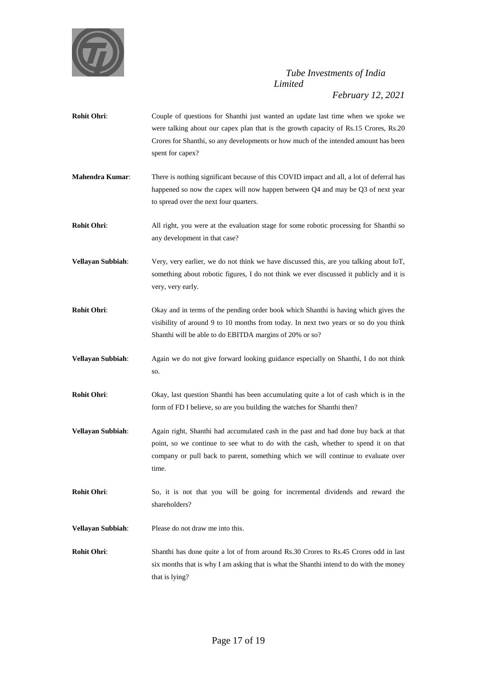

- **Rohit Ohri:** Couple of questions for Shanthi just wanted an update last time when we spoke we were talking about our capex plan that is the growth capacity of Rs.15 Crores, Rs.20 Crores for Shanthi, so any developments or how much of the intended amount has been spent for capex?
- **Mahendra Kumar:** There is nothing significant because of this COVID impact and all, a lot of deferral has happened so now the capex will now happen between Q4 and may be Q3 of next year to spread over the next four quarters.
- **Rohit Ohri:** All right, you were at the evaluation stage for some robotic processing for Shanthi so any development in that case?
- **Vellayan Subbiah**: Very, very earlier, we do not think we have discussed this, are you talking about IoT, something about robotic figures, I do not think we ever discussed it publicly and it is very, very early.
- **Rohit Ohri:** Okay and in terms of the pending order book which Shanthi is having which gives the visibility of around 9 to 10 months from today. In next two years or so do you think Shanthi will be able to do EBITDA margins of 20% or so?
- **Vellayan Subbiah**: Again we do not give forward looking guidance especially on Shanthi, I do not think so.
- **Rohit Ohri:** Okay, last question Shanthi has been accumulating quite a lot of cash which is in the form of FD I believe, so are you building the watches for Shanthi then?
- **Vellayan Subbiah**: Again right, Shanthi had accumulated cash in the past and had done buy back at that point, so we continue to see what to do with the cash, whether to spend it on that company or pull back to parent, something which we will continue to evaluate over time.
- **Rohit Ohri**: So, it is not that you will be going for incremental dividends and reward the shareholders?
- **Vellayan Subbiah**: Please do not draw me into this.
- **Rohit Ohri:** Shanthi has done quite a lot of from around Rs.30 Crores to Rs.45 Crores odd in last six months that is why I am asking that is what the Shanthi intend to do with the money that is lying?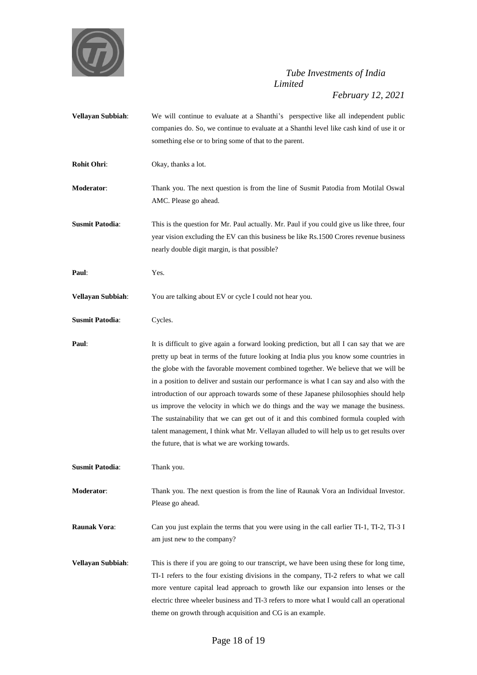

*February 12, 2021*

**Vellayan Subbiah:** We will continue to evaluate at a Shanthi's perspective like all independent public companies do. So, we continue to evaluate at a Shanthi level like cash kind of use it or something else or to bring some of that to the parent. **Rohit Ohri:** Okay, thanks a lot. **Moderator**: Thank you. The next question is from the line of Susmit Patodia from Motilal Oswal AMC. Please go ahead. **Susmit Patodia:** This is the question for Mr. Paul actually. Mr. Paul if you could give us like three, four year vision excluding the EV can this business be like Rs.1500 Crores revenue business nearly double digit margin, is that possible? **Paul**: Yes. **Vellayan Subbiah:** You are talking about EV or cycle I could not hear you. **Susmit Patodia**: Cycles. **Paul:** It is difficult to give again a forward looking prediction, but all I can say that we are pretty up beat in terms of the future looking at India plus you know some countries in the globe with the favorable movement combined together. We believe that we will be in a position to deliver and sustain our performance is what I can say and also with the introduction of our approach towards some of these Japanese philosophies should help us improve the velocity in which we do things and the way we manage the business. The sustainability that we can get out of it and this combined formula coupled with talent management, I think what Mr. Vellayan alluded to will help us to get results over the future, that is what we are working towards. **Susmit Patodia:** Thank you. **Moderator**: Thank you. The next question is from the line of Raunak Vora an Individual Investor. Please go ahead. **Raunak Vora:** Can you just explain the terms that you were using in the call earlier TI-1, TI-2, TI-3 I am just new to the company? **Vellayan Subbiah**: This is there if you are going to our transcript, we have been using these for long time, TI-1 refers to the four existing divisions in the company, TI-2 refers to what we call more venture capital lead approach to growth like our expansion into lenses or the electric three wheeler business and TI-3 refers to more what I would call an operational theme on growth through acquisition and CG is an example.